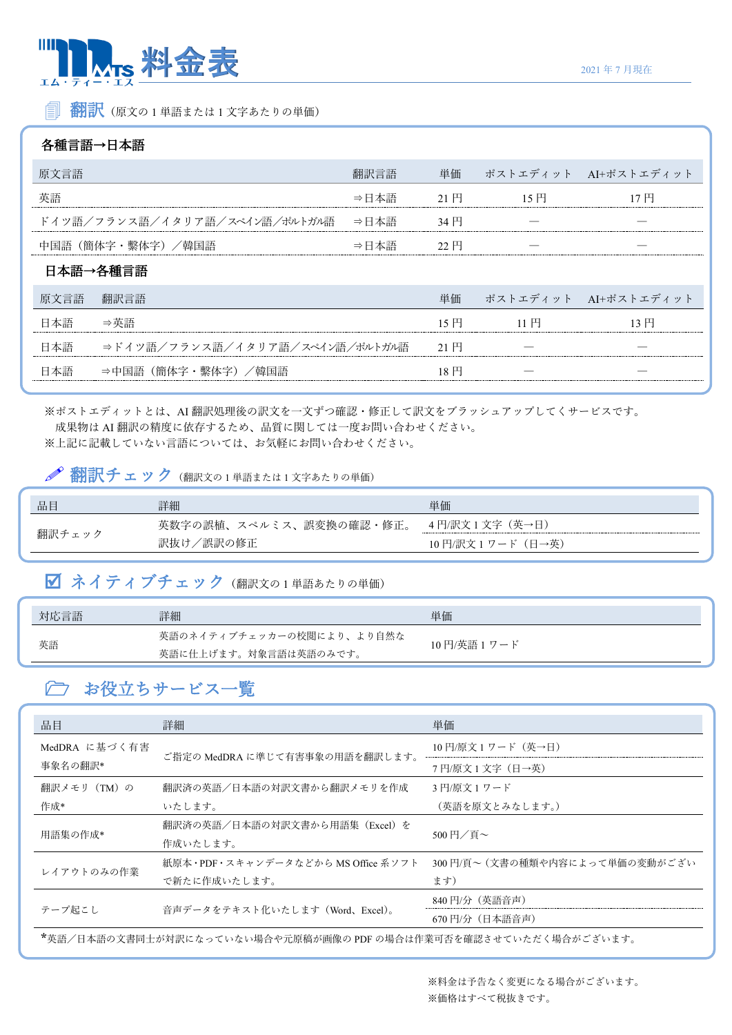

■ 翻訳 (原文の1単語または1文字あたりの単価)

#### 各種言語→日本語

| 翻訳言語<br>原文言語                          |                                |        |               | 単価 ポストエディット AI+ポストエディット |                      |
|---------------------------------------|--------------------------------|--------|---------------|-------------------------|----------------------|
| 英語<br>⇒日本語                            |                                | 21 円   | 15H           |                         |                      |
| ドイツ語/フランス語/イタリア語/スペイン語/ポルトガル語<br>⇒日本語 |                                | - 34 円 |               |                         |                      |
| 中国語 (簡体字·繫体字) /韓国語<br>⇒日本語            |                                | 22     |               |                         |                      |
| 日本語→各種言語                              |                                |        |               |                         |                      |
| 原文言語                                  | 翻訳言語                           |        | 単価            |                         | ポストエディット AI+ポストエディット |
| 日本語                                   | ⇒英語                            |        | 15円           | 11 円                    | '3円                  |
| 日本語                                   | ⇒ドイツ語/フランス語/イタリア語/スペイン語/ポルトガル語 |        | 21 $H$        |                         |                      |
| 本語                                    | (簡体字・墼体字)/韓国語                  |        | $18\text{ H}$ |                         |                      |

※ポストエディットとは、AI 翻訳処理後の訳文を一文ずつ確認・修正して訳文をブラッシュアップしてくサービスです。 成果物は AI 翻訳の精度に依存するため、品質に関しては一度お問い合わせください。 ※上記に記載していない言語については、お気軽にお問い合わせください。

## $\mathscr{P}$ 翻訳チェック (翻訳文の1単語または1文字あたりの単価)

| 品目     | 詳細                      | 単価                 |
|--------|-------------------------|--------------------|
|        | 英数字の誤植、スペルミス、誤変換の確認・修正。 | 4円/訳文1文字(英→日)      |
| 翻訳チェック | ′誤訳の修正<br>訳抜け           | 10 円/訳文 1 ワード(日→英) |

# ■ ネイティブチェック (翻訳文の1単語あたりの単価)

| 対応言語 | 詳細                        | 単価           |
|------|---------------------------|--------------|
| 英語   | 英語のネイティブチェッカーの校閲により、より自然な | 10円/英語 1 ワード |
|      | 英語に仕上げます。対象言語は英語のみです。     |              |

## お役立ちサービス一覧

| 品目                                                               | 詳細                                 | 単価                            |  |
|------------------------------------------------------------------|------------------------------------|-------------------------------|--|
| MedDRA に基づく有害                                                    | ご指定の MedDRA に準じて有害事象の用語を翻訳します。     | 10円/原文1ワード(英→日)               |  |
| 事象名の翻訳*                                                          |                                    | 7円/原文1文字(日→英)                 |  |
| 翻訳メモリ(TM)の                                                       | 翻訳済の英語/日本語の対訳文書から翻訳メモリを作成          | 3 円/原文 1 ワード                  |  |
| 作成*                                                              | いたします。                             | (英語を原文とみなします。)                |  |
| 用語集の作成*                                                          | 翻訳済の英語/日本語の対訳文書から用語集(Excel)を       | 500円/百 $\sim$                 |  |
|                                                                  | 作成いたします。                           |                               |  |
| レイアウトのみの作業                                                       | 紙原本・PDF・スキャンデータなどから MS Office 系ソフト | 300円/頁~(文書の種類や内容によって単価の変動がござい |  |
|                                                                  | で新たに作成いたします。                       | ます)                           |  |
|                                                                  | 音声データをテキスト化いたします (Word、Excel)。     | 840 円/分 (英語音声)                |  |
| テープ起こし                                                           |                                    | 670 円/分 (日本語音声)               |  |
| *英語/日本語の文書同士が対訳になっていない場合や元原稿が画像の PDF の場合は作業可否を確認させていただく場合がございます。 |                                    |                               |  |

※料金は予告なく変更になる場合がございます。 ※価格はすべて税抜きです。